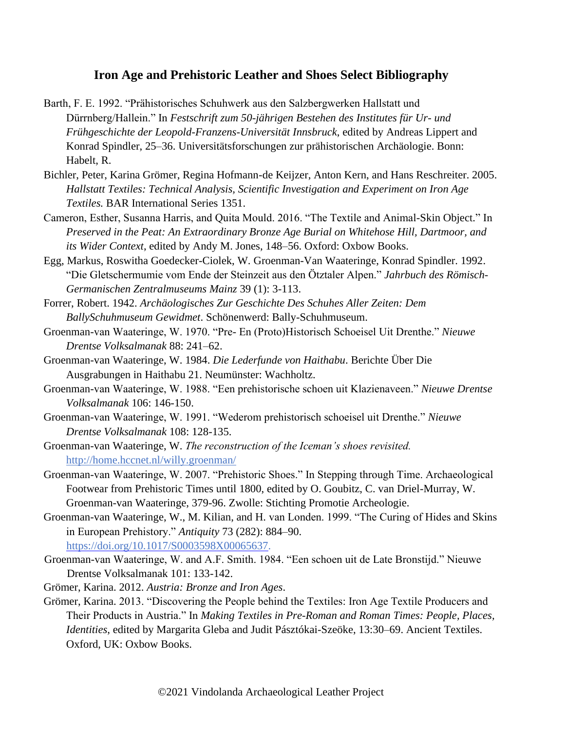## **Iron Age and Prehistoric Leather and Shoes Select Bibliography**

- Barth, F. E. 1992. "Prähistorisches Schuhwerk aus den Salzbergwerken Hallstatt und Dürrnberg/Hallein." In *Festschrift zum 50-jährigen Bestehen des Institutes für Ur- und Frühgeschichte der Leopold-Franzens-Universität Innsbruck*, edited by Andreas Lippert and Konrad Spindler, 25–36. Universitätsforschungen zur prähistorischen Archäologie. Bonn: Habelt, R.
- Bichler, Peter, Karina Grömer, Regina Hofmann-de Keijzer, Anton Kern, and Hans Reschreiter. 2005. *Hallstatt Textiles: Technical Analysis, Scientific Investigation and Experiment on Iron Age Textiles.* BAR International Series 1351.
- Cameron, Esther, Susanna Harris, and Quita Mould. 2016. "The Textile and Animal-Skin Object." In *Preserved in the Peat: An Extraordinary Bronze Age Burial on Whitehose Hill, Dartmoor, and its Wider Context*, edited by Andy M. Jones, 148–56. Oxford: Oxbow Books.
- Egg, Markus, Roswitha Goedecker-Ciolek, W. Groenman-Van Waateringe, Konrad Spindler. 1992. "Die Gletschermumie vom Ende der Steinzeit aus den Ötztaler Alpen." *Jahrbuch des Römisch-Germanischen Zentralmuseums Mainz* 39 (1): 3-113.
- Forrer, Robert. 1942. *Archäologisches Zur Geschichte Des Schuhes Aller Zeiten: Dem BallySchuhmuseum Gewidmet*. Schönenwerd: Bally-Schuhmuseum.
- Groenman-van Waateringe, W. 1970. "Pre- En (Proto)Historisch Schoeisel Uit Drenthe." *Nieuwe Drentse Volksalmanak* 88: 241–62.
- Groenman-van Waateringe, W. 1984. *Die Lederfunde von Haithabu*. Berichte Über Die Ausgrabungen in Haithabu 21. Neumünster: Wachholtz.
- Groenman-van Waateringe, W. 1988. "Een prehistorische schoen uit Klazienaveen." *Nieuwe Drentse Volksalmanak* 106: 146-150.
- Groenman-van Waateringe, W. 1991. "Wederom prehistorisch schoeisel uit Drenthe." *Nieuwe Drentse Volksalmanak* 108: 128-135.
- Groenman-van Waateringe, W. *The reconstruction of the Iceman's shoes revisited.* <http://home.hccnet.nl/willy.groenman/>
- Groenman-van Waateringe, W. 2007. "Prehistoric Shoes." In Stepping through Time. Archaeological Footwear from Prehistoric Times until 1800, edited by O. Goubitz, C. van Driel-Murray, W. Groenman-van Waateringe, 379-96. Zwolle: Stichting Promotie Archeologie.
- Groenman-van Waateringe, W., M. Kilian, and H. van Londen. 1999. "The Curing of Hides and Skins in European Prehistory." *Antiquity* 73 (282): 884–90. [https://doi.org/10.1017/S0003598X00065637.](https://doi.org/10.1017/S0003598X00065637)
- Groenman-van Waateringe, W. and A.F. Smith. 1984. "Een schoen uit de Late Bronstijd." Nieuwe Drentse Volksalmanak 101: 133-142.
- Grömer, Karina. 2012. *Austria: Bronze and Iron Ages*.
- Grömer, Karina. 2013. "Discovering the People behind the Textiles: Iron Age Textile Producers and Their Products in Austria." In *Making Textiles in Pre-Roman and Roman Times: People, Places, Identities*, edited by Margarita Gleba and Judit Pásztókai-Szeöke, 13:30–69. Ancient Textiles. Oxford, UK: Oxbow Books.